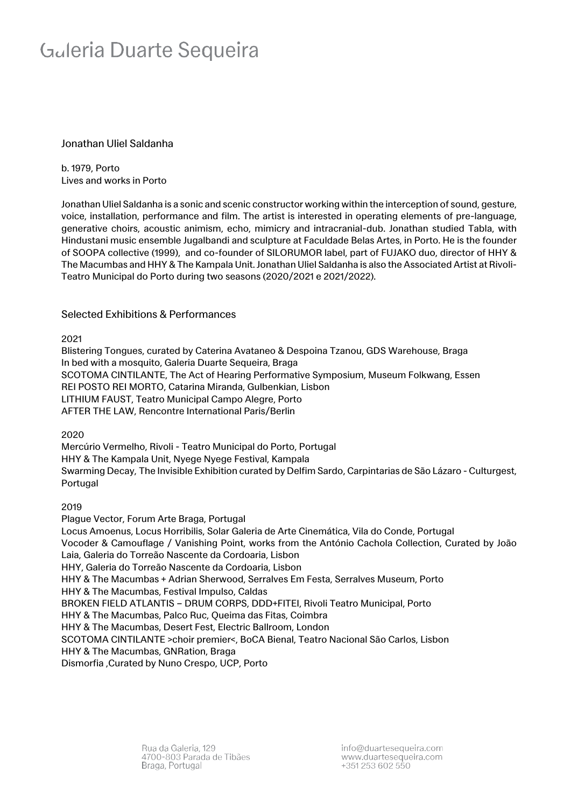## Galeria Duarte Sequeira

#### Jonathan Uliel Saldanha

b. 1979, Porto Lives and works in Porto

Jonathan Uliel Saldanha is a sonic and scenic constructor working within the interception of sound, gesture, voice, installation, performance and film. The artist is interested in operating elements of pre-language, generative choirs, acoustic animism, echo, mimicry and intracranial-dub. Jonathan studied Tabla, with Hindustani music ensemble Jugalbandi and sculpture at Faculdade Belas Artes, in Porto. He is the founder of SOOPA collective (1999), and co-founder of SILORUMOR label, part of FUJAKO duo, director of HHY & The Macumbas and HHY & The Kampala Unit. Jonathan Uliel Saldanha is also the Associated Artist at Rivoli-Teatro Municipal do Porto during two seasons (2020/2021 e 2021/2022).

#### Selected Exhibitions & Performances

2021

Blistering Tongues, curated by Caterina Avataneo & Despoina Tzanou, GDS Warehouse, Braga In bed with a mosquito, Galeria Duarte Sequeira, Braga SCOTOMA CINTILANTE, The Act of Hearing Performative Symposium, Museum Folkwang, Essen REI POSTO REI MORTO, Catarina Miranda, Gulbenkian, Lisbon LITHIUM FAUST, Teatro Municipal Campo Alegre, Porto AFTER THE LAW, Rencontre International Paris/Berlin

2020

Mercúrio Vermelho, Rivoli - Teatro Municipal do Porto, Portugal HHY & The Kampala Unit, Nyege Nyege Festival, Kampala Swarming Decay, The Invisible Exhibition curated by Delfim Sardo, Carpintarias de São Lázaro - Culturgest, Portugal

2019

Plague Vector, Forum Arte Braga, Portugal Locus Amoenus, Locus Horribilis, Solar Galeria de Arte Cinemática, Vila do Conde, Portugal Vocoder & Camouflage / Vanishing Point, works from the António Cachola Collection, Curated by João Laia, Galeria do Torreão Nascente da Cordoaria, Lisbon HHY, Galeria do Torreão Nascente da Cordoaria, Lisbon HHY & The Macumbas + Adrian Sherwood, Serralves Em Festa, Serralves Museum, Porto HHY & The Macumbas, Festival Impulso, Caldas BROKEN FIELD ATLANTIS – DRUM CORPS, DDD+FITEI, Rivoli Teatro Municipal, Porto HHY & The Macumbas, Palco Ruc, Queima das Fitas, Coimbra HHY & The Macumbas, Desert Fest, Electric Ballroom, London SCOTOMA CINTILANTE >choir premier<, BoCA Bienal, Teatro Nacional São Carlos, Lisbon HHY & The Macumbas, GNRation, Braga Dismorfia ,Curated by Nuno Crespo, UCP, Porto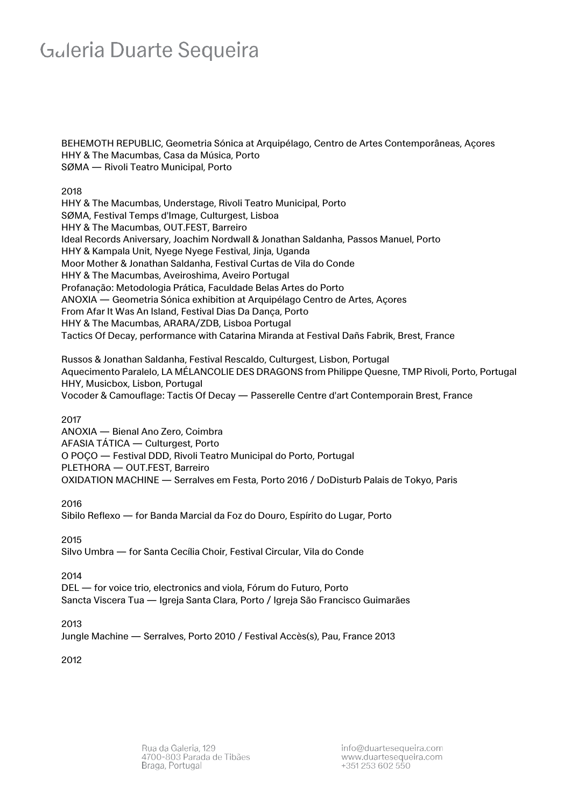### Galeria Duarte Sequeira

BEHEMOTH REPUBLIC, Geometria Sónica at Arquipélago, Centro de Artes Contemporâneas, Açores HHY & The Macumbas, Casa da Música, Porto SØMA — Rivoli Teatro Municipal, Porto

2018

HHY & The Macumbas, Understage, Rivoli Teatro Municipal, Porto SØMA, Festival Temps d'Image, Culturgest, Lisboa HHY & The Macumbas, OUT.FEST, Barreiro Ideal Records Aniversary, Joachim Nordwall & Jonathan Saldanha, Passos Manuel, Porto HHY & Kampala Unit, Nyege Nyege Festival, Jinja, Uganda Moor Mother & Jonathan Saldanha, Festival Curtas de Vila do Conde HHY & The Macumbas, Aveiroshima, Aveiro Portugal Profanação: Metodologia Prática, Faculdade Belas Artes do Porto ANOXIA — Geometria Sónica exhibition at Arquipélago Centro de Artes, Açores From Afar It Was An Island, Festival Dias Da Dança, Porto HHY & The Macumbas, ARARA/ZDB, Lisboa Portugal Tactics Of Decay, performance with Catarina Miranda at Festival Dañs Fabrik, Brest, France

Russos & Jonathan Saldanha, Festival Rescaldo, Culturgest, Lisbon, Portugal Aquecimento Paralelo, LA MÉLANCOLIE DES DRAGONS from Philippe Quesne, TMP Rivoli, Porto, Portugal HHY, Musicbox, Lisbon, Portugal Vocoder & Camouflage: Tactis Of Decay — Passerelle Centre d'art Contemporain Brest, France

2017

ANOXIA — Bienal Ano Zero, Coimbra AFASIA TÁTICA — Culturgest, Porto O POÇO — Festival DDD, Rivoli Teatro Municipal do Porto, Portugal PLETHORA — OUT.FEST, Barreiro OXIDATION MACHINE — Serralves em Festa, Porto 2016 / DoDisturb Palais de Tokyo, Paris

2016

Sibilo Reflexo — for Banda Marcial da Foz do Douro, Espírito do Lugar, Porto

2015

Silvo Umbra — for Santa Cecília Choir, Festival Circular, Vila do Conde

2014

DEL — for voice trio, electronics and viola, Fórum do Futuro, Porto Sancta Viscera Tua — Igreja Santa Clara, Porto / Igreja São Francisco Guimarães

2013

Jungle Machine — Serralves, Porto 2010 / Festival Accès(s), Pau, France 2013

2012